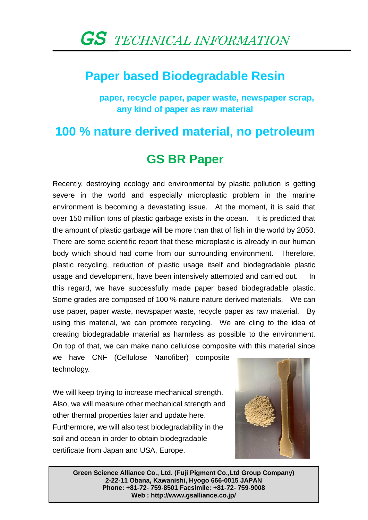### **Paper based Biodegradable Resin**

 **paper, recycle paper, paper waste, newspaper scrap, any kind of paper as raw material** 

## **100 % nature derived material, no petroleum**

### **GS BR Paper**

Recently, destroying ecology and environmental by plastic pollution is getting severe in the world and especially microplastic problem in the marine environment is becoming a devastating issue. At the moment, it is said that over 150 million tons of plastic garbage exists in the ocean. It is predicted that the amount of plastic garbage will be more than that of fish in the world by 2050. There are some scientific report that these microplastic is already in our human body which should had come from our surrounding environment. Therefore, plastic recycling, reduction of plastic usage itself and biodegradable plastic usage and development, have been intensively attempted and carried out. In this regard, we have successfully made paper based biodegradable plastic. Some grades are composed of 100 % nature nature derived materials. We can use paper, paper waste, newspaper waste, recycle paper as raw material. By using this material, we can promote recycling. We are cling to the idea of creating biodegradable material as harmless as possible to the environment. On top of that, we can make nano cellulose composite with this material since we have CNF (Cellulose Nanofiber) composite

technology.

We will keep trying to increase mechanical strength. Also, we will measure other mechanical strength and other thermal properties later and update here. Furthermore, we will also test biodegradability in the soil and ocean in order to obtain biodegradable certificate from Japan and USA, Europe.



**Green Science Alliance Co., Ltd. (Fuji Pigment Co.,Ltd Group Company) 2-22-11 Obana, Kawanishi, Hyogo 666-0015 JAPAN Phone: +81-72- 759-8501 Facsimile: +81-72- 759-9008 Web : http://www.gsalliance.co.jp/**